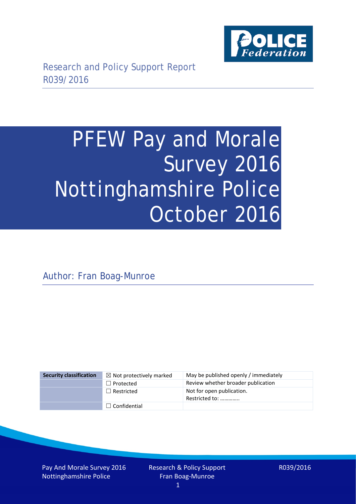

# PFEW Pay and Morale Survey 2016 Nottinghamshire Police October 2016

Author: Fran Boag-Munroe

| <b>Security classification</b> | $\boxtimes$ Not protectively marked | May be published openly / immediately       |
|--------------------------------|-------------------------------------|---------------------------------------------|
|                                | $\Box$ Protected                    | Review whether broader publication          |
|                                | $\Box$ Restricted                   | Not for open publication.<br>Restricted to: |
|                                | $\Box$ Confidential                 |                                             |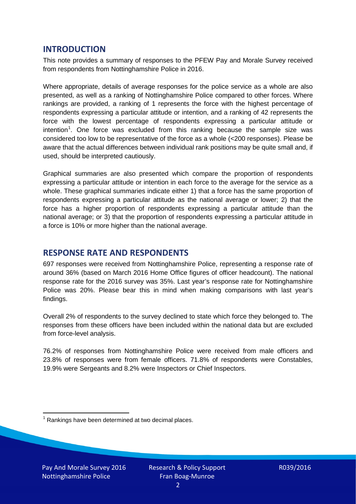## **INTRODUCTION**

This note provides a summary of responses to the PFEW Pay and Morale Survey received from respondents from Nottinghamshire Police in 2016.

Where appropriate, details of average responses for the police service as a whole are also presented, as well as a ranking of Nottinghamshire Police compared to other forces. Where rankings are provided, a ranking of 1 represents the force with the highest percentage of respondents expressing a particular attitude or intention, and a ranking of 42 represents the force with the lowest percentage of respondents expressing a particular attitude or intention<sup>[1](#page-1-0)</sup>. One force was excluded from this ranking because the sample size was considered too low to be representative of the force as a whole (<200 responses). Please be aware that the actual differences between individual rank positions may be quite small and, if used, should be interpreted cautiously.

Graphical summaries are also presented which compare the proportion of respondents expressing a particular attitude or intention in each force to the average for the service as a whole. These graphical summaries indicate either 1) that a force has the same proportion of respondents expressing a particular attitude as the national average or lower; 2) that the force has a higher proportion of respondents expressing a particular attitude than the national average; or 3) that the proportion of respondents expressing a particular attitude in a force is 10% or more higher than the national average.

## **RESPONSE RATE AND RESPONDENTS**

697 responses were received from Nottinghamshire Police, representing a response rate of around 36% (based on March 2016 Home Office figures of officer headcount). The national response rate for the 2016 survey was 35%. Last year's response rate for Nottinghamshire Police was 20%. Please bear this in mind when making comparisons with last year's findings.

Overall 2% of respondents to the survey declined to state which force they belonged to. The responses from these officers have been included within the national data but are excluded from force-level analysis.

76.2% of responses from Nottinghamshire Police were received from male officers and 23.8% of responses were from female officers. 71.8% of respondents were Constables, 19.9% were Sergeants and 8.2% were Inspectors or Chief Inspectors.

<span id="page-1-0"></span> $1$  Rankings have been determined at two decimal places.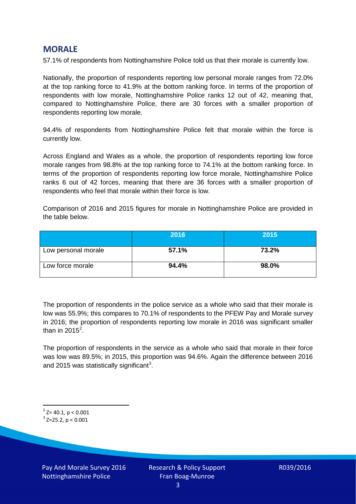## **MORALE**

57.1% of respondents from Nottinghamshire Police told us that their morale is currently low.

Nationally, the proportion of respondents reporting low personal morale ranges from 72.0% at the top ranking force to 41.9% at the bottom ranking force. In terms of the proportion of respondents with low morale, Nottinghamshire Police ranks 12 out of 42, meaning that, compared to Nottinghamshire Police, there are 30 forces with a smaller proportion of respondents reporting low morale.

94.4% of respondents from Nottinghamshire Police felt that morale within the force is currently low.

Across England and Wales as a whole, the proportion of respondents reporting low force morale ranges from 98.8% at the top ranking force to 74.1% at the bottom ranking force. In terms of the proportion of respondents reporting low force morale, Nottinghamshire Police ranks 6 out of 42 forces, meaning that there are 36 forces with a smaller proportion of respondents who feel that morale within their force is low.

Comparison of 2016 and 2015 figures for morale in Nottinghamshire Police are provided in the table below.

|                     | 2016  | 2015  |
|---------------------|-------|-------|
| Low personal morale | 57.1% | 73.2% |
| Low force morale    | 94.4% | 98.0% |

The proportion of respondents in the police service as a whole who said that their morale is low was 55.9%; this compares to 70.1% of respondents to the PFEW Pay and Morale survey in 2016; the proportion of respondents reporting low morale in 2016 was significant smaller than in [2](#page-2-0)015 $^2$ .

The proportion of respondents in the service as a whole who said that morale in their force was low was 89.5%; in 2015, this proportion was 94.6%. Again the difference between 2016 and 2015 was statistically significant<sup>[3](#page-2-1)</sup>.

<span id="page-2-0"></span> $2$ <sup>2</sup> Z= 40.1, p < 0.001

<span id="page-2-1"></span> $3$  Z=25.2, p < 0.001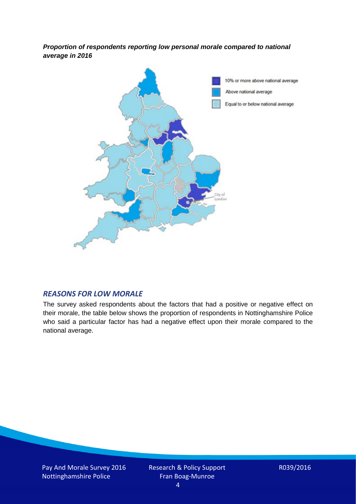*Proportion of respondents reporting low personal morale compared to national average in 2016*



#### *REASONS FOR LOW MORALE*

The survey asked respondents about the factors that had a positive or negative effect on their morale, the table below shows the proportion of respondents in Nottinghamshire Police who said a particular factor has had a negative effect upon their morale compared to the national average.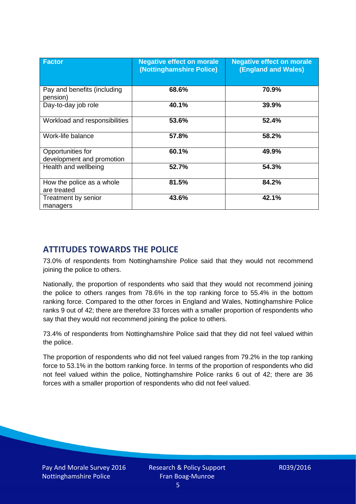| <b>Factor</b>                                  | <b>Negative effect on morale</b><br>(Nottinghamshire Police) | <b>Negative effect on morale</b><br><b>(England and Wales)</b> |
|------------------------------------------------|--------------------------------------------------------------|----------------------------------------------------------------|
| Pay and benefits (including<br>pension)        | 68.6%                                                        | 70.9%                                                          |
| Day-to-day job role                            | 40.1%                                                        | 39.9%                                                          |
| Workload and responsibilities                  | 53.6%                                                        | 52.4%                                                          |
| Work-life balance                              | 57.8%                                                        | 58.2%                                                          |
| Opportunities for<br>development and promotion | 60.1%                                                        | 49.9%                                                          |
| Health and wellbeing                           | 52.7%                                                        | 54.3%                                                          |
| How the police as a whole<br>are treated       | 81.5%                                                        | 84.2%                                                          |
| Treatment by senior<br>managers                | 43.6%                                                        | 42.1%                                                          |

# **ATTITUDES TOWARDS THE POLICE**

73.0% of respondents from Nottinghamshire Police said that they would not recommend joining the police to others.

Nationally, the proportion of respondents who said that they would not recommend joining the police to others ranges from 78.6% in the top ranking force to 55.4% in the bottom ranking force. Compared to the other forces in England and Wales, Nottinghamshire Police ranks 9 out of 42; there are therefore 33 forces with a smaller proportion of respondents who say that they would not recommend joining the police to others.

73.4% of respondents from Nottinghamshire Police said that they did not feel valued within the police.

The proportion of respondents who did not feel valued ranges from 79.2% in the top ranking force to 53.1% in the bottom ranking force. In terms of the proportion of respondents who did not feel valued within the police, Nottinghamshire Police ranks 6 out of 42; there are 36 forces with a smaller proportion of respondents who did not feel valued.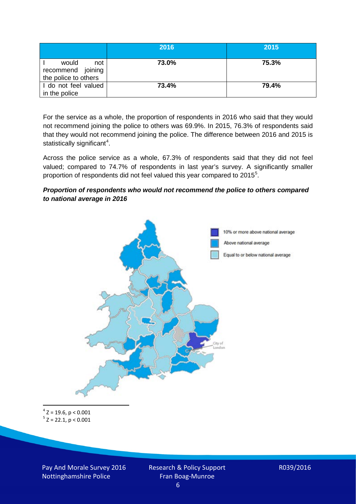|                                                           | 2016  | 2015  |
|-----------------------------------------------------------|-------|-------|
| would<br>not<br>recommend joining<br>the police to others | 73.0% | 75.3% |
| I do not feel valued<br>in the police                     | 73.4% | 79.4% |

For the service as a whole, the proportion of respondents in 2016 who said that they would not recommend joining the police to others was 69.9%. In 2015, 76.3% of respondents said that they would not recommend joining the police. The difference between 2016 and 2015 is statistically significant<sup>[4](#page-5-0)</sup>.

Across the police service as a whole, 67.3% of respondents said that they did not feel valued; compared to 74.7% of respondents in last year's survey. A significantly smaller proportion of respondents did not feel valued this year compared to 201[5](#page-5-1)<sup>5</sup>.

#### *Proportion of respondents who would not recommend the police to others compared to national average in 2016*



<span id="page-5-1"></span><span id="page-5-0"></span> $4$  Z = 19.6, p < 0.001  $5$  Z = 22.1, p < 0.001

Pay And Morale Survey 2016 Nottinghamshire Police

Research & Policy Support Fran Boag-Munroe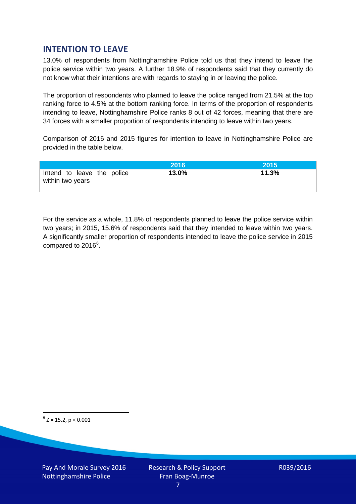## **INTENTION TO LEAVE**

13.0% of respondents from Nottinghamshire Police told us that they intend to leave the police service within two years. A further 18.9% of respondents said that they currently do not know what their intentions are with regards to staying in or leaving the police.

The proportion of respondents who planned to leave the police ranged from 21.5% at the top ranking force to 4.5% at the bottom ranking force. In terms of the proportion of respondents intending to leave, Nottinghamshire Police ranks 8 out of 42 forces, meaning that there are 34 forces with a smaller proportion of respondents intending to leave within two years.

Comparison of 2016 and 2015 figures for intention to leave in Nottinghamshire Police are provided in the table below.

|                                                | 2016  | 2015  |
|------------------------------------------------|-------|-------|
| Intend to leave the police<br>within two years | 13.0% | 11.3% |

For the service as a whole, 11.8% of respondents planned to leave the police service within two years; in 2015, 15.6% of respondents said that they intended to leave within two years. A significantly smaller proportion of respondents intended to leave the police service in 2015 compared to 201[6](#page-6-0)<sup>6</sup>.

<span id="page-6-0"></span> $6$  Z = 15.2, p < 0.001

Pay And Morale Survey 2016 Nottinghamshire Police

Research & Policy Support Fran Boag-Munroe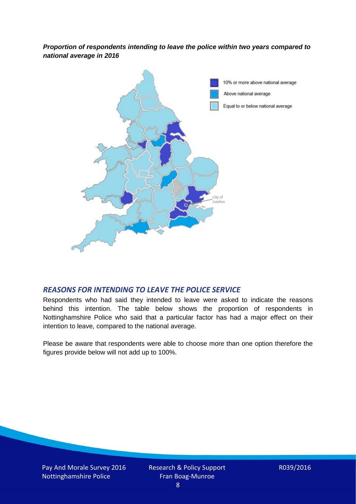*Proportion of respondents intending to leave the police within two years compared to national average in 2016*



#### *REASONS FOR INTENDING TO LEAVE THE POLICE SERVICE*

Respondents who had said they intended to leave were asked to indicate the reasons behind this intention. The table below shows the proportion of respondents in Nottinghamshire Police who said that a particular factor has had a major effect on their intention to leave, compared to the national average.

Please be aware that respondents were able to choose more than one option therefore the figures provide below will not add up to 100%.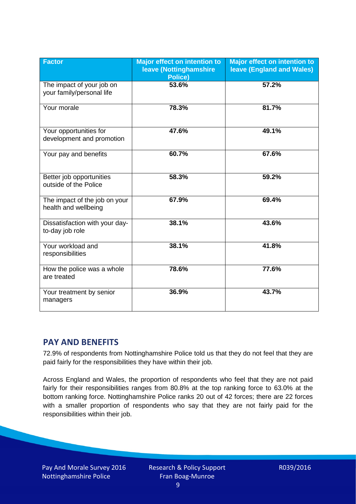| <b>Factor</b>                                          | <b>Major effect on intention to</b><br>leave (Nottinghamshire<br><b>Police)</b> | <b>Major effect on intention to</b><br><b>leave (England and Wales)</b> |
|--------------------------------------------------------|---------------------------------------------------------------------------------|-------------------------------------------------------------------------|
| The impact of your job on<br>your family/personal life | 53.6%                                                                           | 57.2%                                                                   |
| Your morale                                            | 78.3%                                                                           | 81.7%                                                                   |
| Your opportunities for<br>development and promotion    | 47.6%                                                                           | 49.1%                                                                   |
| Your pay and benefits                                  | 60.7%                                                                           | 67.6%                                                                   |
| Better job opportunities<br>outside of the Police      | 58.3%                                                                           | 59.2%                                                                   |
| The impact of the job on your<br>health and wellbeing  | 67.9%                                                                           | 69.4%                                                                   |
| Dissatisfaction with your day-<br>to-day job role      | 38.1%                                                                           | 43.6%                                                                   |
| Your workload and<br>responsibilities                  | 38.1%                                                                           | 41.8%                                                                   |
| How the police was a whole<br>are treated              | 78.6%                                                                           | 77.6%                                                                   |
| Your treatment by senior<br>managers                   | 36.9%                                                                           | 43.7%                                                                   |

## **PAY AND BENEFITS**

72.9% of respondents from Nottinghamshire Police told us that they do not feel that they are paid fairly for the responsibilities they have within their job.

Across England and Wales, the proportion of respondents who feel that they are not paid fairly for their responsibilities ranges from 80.8% at the top ranking force to 63.0% at the bottom ranking force. Nottinghamshire Police ranks 20 out of 42 forces; there are 22 forces with a smaller proportion of respondents who say that they are not fairly paid for the responsibilities within their job.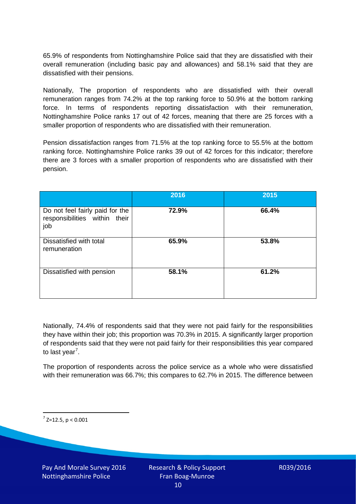65.9% of respondents from Nottinghamshire Police said that they are dissatisfied with their overall remuneration (including basic pay and allowances) and 58.1% said that they are dissatisfied with their pensions.

Nationally, The proportion of respondents who are dissatisfied with their overall remuneration ranges from 74.2% at the top ranking force to 50.9% at the bottom ranking force. In terms of respondents reporting dissatisfaction with their remuneration, Nottinghamshire Police ranks 17 out of 42 forces, meaning that there are 25 forces with a smaller proportion of respondents who are dissatisfied with their remuneration.

Pension dissatisfaction ranges from 71.5% at the top ranking force to 55.5% at the bottom ranking force. Nottinghamshire Police ranks 39 out of 42 forces for this indicator; therefore there are 3 forces with a smaller proportion of respondents who are dissatisfied with their pension.

|                                                                         | 2016  | 2015  |
|-------------------------------------------------------------------------|-------|-------|
| Do not feel fairly paid for the<br>responsibilities within their<br>job | 72.9% | 66.4% |
| Dissatisfied with total<br>remuneration                                 | 65.9% | 53.8% |
| Dissatisfied with pension                                               | 58.1% | 61.2% |

Nationally, 74.4% of respondents said that they were not paid fairly for the responsibilities they have within their job; this proportion was 70.3% in 2015. A significantly larger proportion of respondents said that they were not paid fairly for their responsibilities this year compared to last year<sup>[7](#page-9-0)</sup>.

The proportion of respondents across the police service as a whole who were dissatisfied with their remuneration was 66.7%; this compares to 62.7% in 2015. The difference between

<span id="page-9-0"></span> $7$  Z=12.5, p < 0.001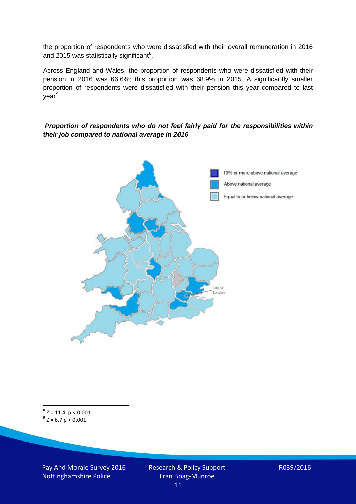the proportion of respondents who were dissatisfied with their overall remuneration in 2016 and 2015 was statistically significant<sup>[8](#page-10-0)</sup>.

Across England and Wales, the proportion of respondents who were dissatisfied with their pension in 2016 was 66.6%; this proportion was 68.9% in 2015. A significantly smaller proportion of respondents were dissatisfied with their pension this year compared to last year<sup>[9](#page-10-1)</sup>.

#### *Proportion of respondents who do not feel fairly paid for the responsibilities within their job compared to national average in 2016*



<span id="page-10-1"></span><span id="page-10-0"></span> $8$  Z = 11.4, p < 0.001  $^{9}$  Z = 6.7 p < 0.001

Pay And Morale Survey 2016 Nottinghamshire Police

Research & Policy Support Fran Boag-Munroe 11